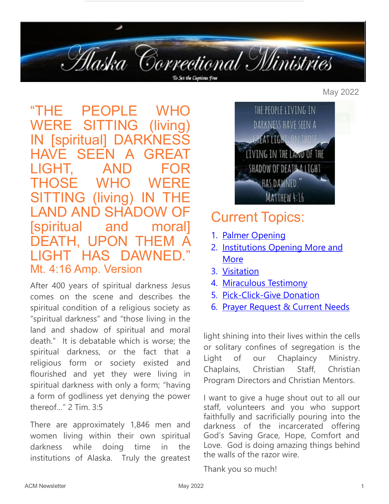

#### "THE PEOPLE WHO WERE SITTING (living IN [spiritual] DARKNE HAVE SFEN LIGHT, AND THOSE WHO WEI SITTING (living) IN LAND AND SHAD [spiritual and moral] DEATH, UPON THEM LIGHT HAS DAWNED. Mt. 4:16 Amp. Version

After 400 years of spiritual darkness Jesus comes on the scene and describes the spiritual condition of a religious society as "spiritual darkness" and "those living in the land and shadow of spiritual and moral death." It is debatable which is worse; the spiritual darkness, or the fact that a religious form or society existed and flourished and yet they were living in spiritual darkness with only a form; "having a form of godliness yet denying the power thereof…" 2 Tim. 3:5

There are approximately 1,846 men and women living within their own spiritual darkness while doing time in the institutions of Alaska. Truly the greatest



### Current Topics:

- 1. [Palmer Opening](#page-1-0)
- 2. Institutions Opening More and [More](#page-1-0)
- 3. [Visitation](#page-1-0)
- 4. [Miraculous Testimony](#page-2-0)
- 5. Pick-Click-[Give Donation](#page-2-0)
- 6. [Prayer Request & Current Needs](#page-3-0)

light shining into their lives within the cells or solitary confines of segregation is the Light of our Chaplaincy Ministry. Chaplains, Christian Staff, Christian Program Directors and Christian Mentors.

I want to give a huge shout out to all our staff, volunteers and you who support faithfully and sacrificially pouring into the darkness of the incarcerated offering God's Saving Grace, Hope, Comfort and Love. God is doing amazing things behind the walls of the razor wire.

Thank you so much!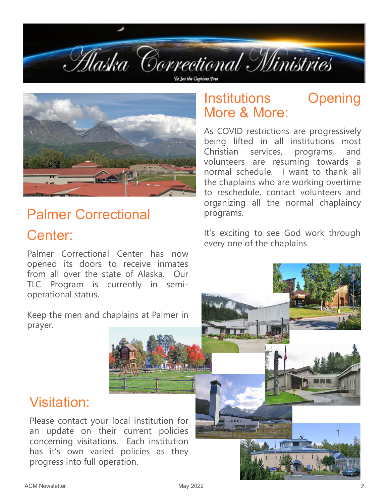<span id="page-1-0"></span>



# Palmer Correctional

### Center:

Palmer Correctional Center has now opened its doors to receive inmates from all over the state of Alaska. Our TLC Program is currently in semioperational status.

Keep the men and chaplains at Palmer in prayer.

### Institutions Opening More & More:

As COVID restrictions are progressively being lifted in all institutions most Christian services, programs, and volunteers are resuming towards a normal schedule. I want to thank all the chaplains who are working overtime to reschedule, contact volunteers and organizing all the normal chaplaincy programs.

It's exciting to see God work through every one of the chaplains.

#### Visitation:

Please contact your local institution for an update on their current policies concerning visitations. Each institution has it's own varied policies as they progress into full operation.

Abrility / Film And P.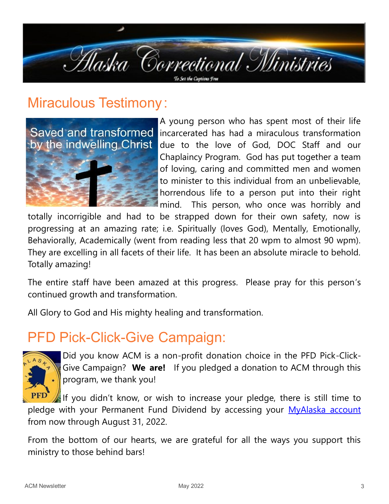<span id="page-2-0"></span>

### Miraculous Testimony :



A young person who has spent most of their life incarcerated has had a miraculous transformation due to the love of God, DOC Staff and our Chaplaincy Program. God has put together a team of loving, caring and committed men and women to minister to this individual from an unbelievable, horrendous life to a person put into their right mind. This person, who once was horribly and

totally incorrigible and had to be strapped down for their own safety, now is progressing at an amazing rate; i.e. Spiritually (loves God), Mentally, Emotionally, Behaviorally, Academically (went from reading less that 20 wpm to almost 90 wpm). They are excelling in all facets of their life. It has been an absolute miracle to behold. Totally amazing!

The entire staff have been amazed at this progress. Please pray for this person's continued growth and transformation.

All Glory to God and His mighty healing and transformation.

### PFD Pick-Click-Give Campaign:



Did you know ACM is a non-profit donation choice in the PFD Pick-Click-Give Campaign? **We are!** If you pledged a donation to ACM through this program, we thank you!

If you didn't know, or wish to increase your pledge, there is still time to pledge with your Permanent Fund Dividend by accessing your [MyAlaska account](https://my.alaska.gov/) from now through August 31, 2022.

From the bottom of our hearts, we are grateful for all the ways you support this ministry to those behind bars!